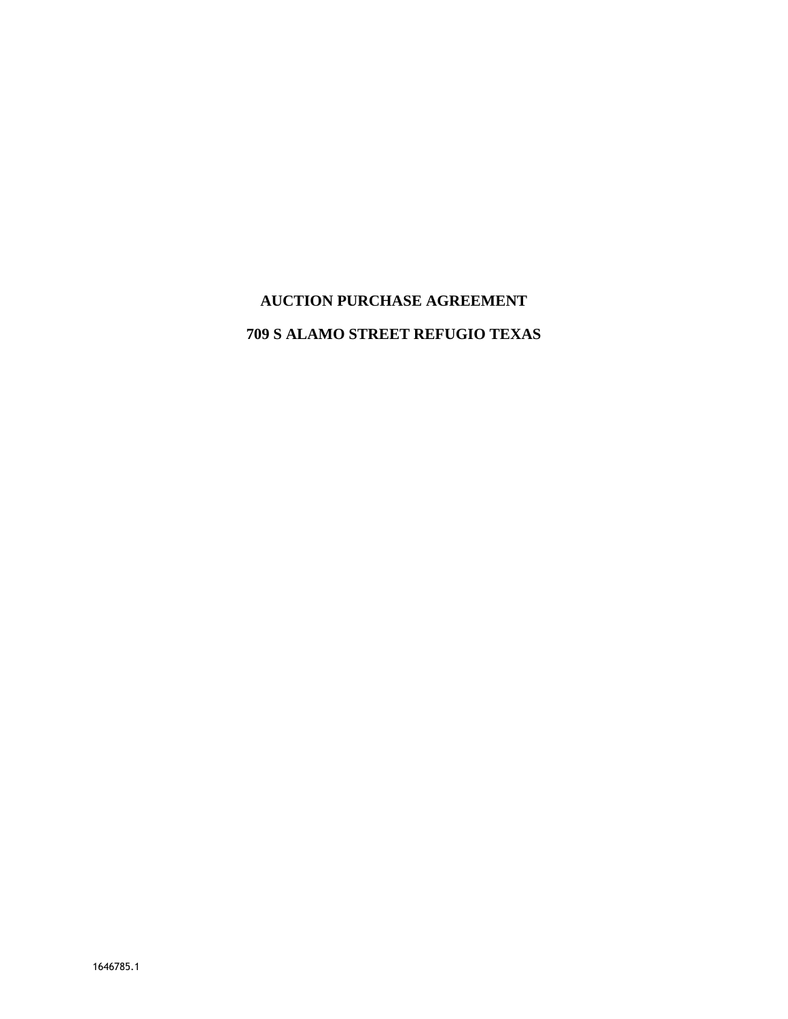# **AUCTION PURCHASE AGREEMENT**

# **709 S ALAMO STREET REFUGIO TEXAS**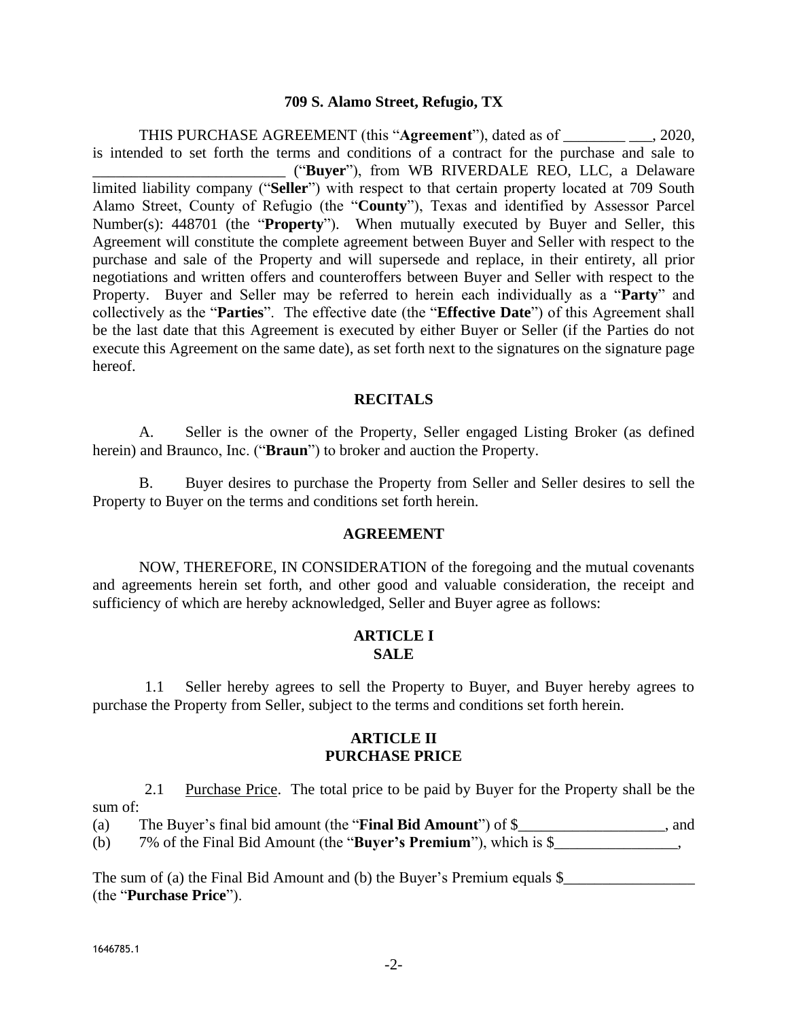#### **709 S. Alamo Street, Refugio, TX**

THIS PURCHASE AGREEMENT (this "**Agreement**"), dated as of \_\_\_\_\_\_\_\_ \_\_\_, 2020, is intended to set forth the terms and conditions of a contract for the purchase and sale to \_\_\_\_\_\_\_\_\_\_\_\_\_\_\_\_\_\_\_\_\_\_\_\_\_ ("**Buyer**"), from WB RIVERDALE REO, LLC, a Delaware limited liability company ("**Seller**") with respect to that certain property located at 709 South Alamo Street, County of Refugio (the "**County**"), Texas and identified by Assessor Parcel Number(s): 448701 (the "**Property**"). When mutually executed by Buyer and Seller, this Agreement will constitute the complete agreement between Buyer and Seller with respect to the purchase and sale of the Property and will supersede and replace, in their entirety, all prior negotiations and written offers and counteroffers between Buyer and Seller with respect to the Property. Buyer and Seller may be referred to herein each individually as a "**Party**" and collectively as the "**Parties**". The effective date (the "**Effective Date**") of this Agreement shall be the last date that this Agreement is executed by either Buyer or Seller (if the Parties do not execute this Agreement on the same date), as set forth next to the signatures on the signature page hereof.

#### **RECITALS**

A. Seller is the owner of the Property, Seller engaged Listing Broker (as defined herein) and Braunco, Inc. ("**Braun**") to broker and auction the Property.

B. Buyer desires to purchase the Property from Seller and Seller desires to sell the Property to Buyer on the terms and conditions set forth herein.

#### **AGREEMENT**

NOW, THEREFORE, IN CONSIDERATION of the foregoing and the mutual covenants and agreements herein set forth, and other good and valuable consideration, the receipt and sufficiency of which are hereby acknowledged, Seller and Buyer agree as follows:

#### **ARTICLE I SALE**

1.1 Seller hereby agrees to sell the Property to Buyer, and Buyer hereby agrees to purchase the Property from Seller, subject to the terms and conditions set forth herein.

## **ARTICLE II PURCHASE PRICE**

2.1 Purchase Price. The total price to be paid by Buyer for the Property shall be the sum of:

(a) The Buyer's final bid amount (the "**Final Bid Amount**") of \$\_\_\_\_\_\_\_\_\_\_\_\_\_\_\_\_\_\_\_, and (b) 7% of the Final Bid Amount (the "**Buyer's Premium**"), which is \$\_\_\_\_\_\_\_\_\_\_\_\_\_\_\_\_,

The sum of (a) the Final Bid Amount and (b) the Buyer's Premium equals  $\$$ (the "**Purchase Price**").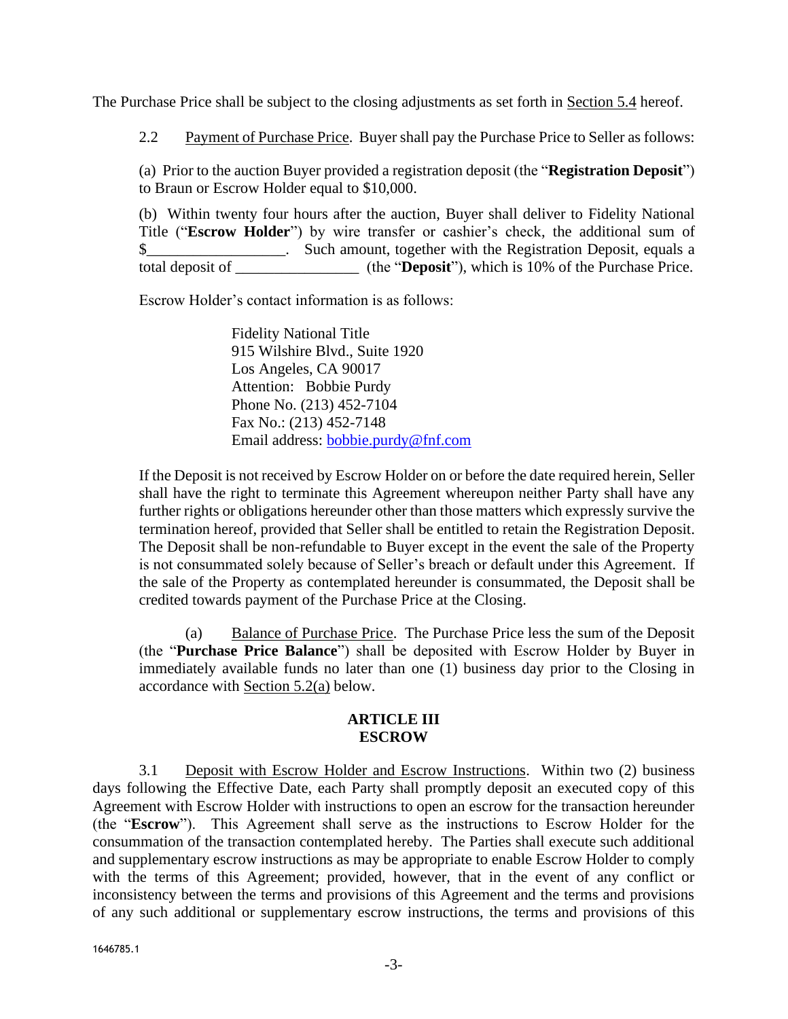<span id="page-2-0"></span>The Purchase Price shall be subject to the closing adjustments as set forth in Section [5.4](#page-4-0) hereof.

2.2 Payment of Purchase Price. Buyer shall pay the Purchase Price to Seller as follows:

(a) Prior to the auction Buyer provided a registration deposit (the "**Registration Deposit**") to Braun or Escrow Holder equal to \$10,000.

(b) Within twenty four hours after the auction, Buyer shall deliver to Fidelity National Title ("**Escrow Holder**") by wire transfer or cashier's check, the additional sum of \$\_\_\_\_\_\_\_\_\_\_\_\_\_\_\_\_\_\_\_\_. Such amount, together with the Registration Deposit, equals a total deposit of \_\_\_\_\_\_\_\_\_\_\_\_\_\_\_\_ (the "**Deposit**"), which is 10% of the Purchase Price.

Escrow Holder's contact information is as follows:

Fidelity National Title 915 Wilshire Blvd., Suite 1920 Los Angeles, CA 90017 Attention: Bobbie Purdy Phone No. (213) 452-7104 Fax No.: (213) 452-7148 Email address: [bobbie.purdy@fnf.com](mailto:bobbie.purdy@fnf.com)

If the Deposit is not received by Escrow Holder on or before the date required herein, Seller shall have the right to terminate this Agreement whereupon neither Party shall have any further rights or obligations hereunder other than those matters which expressly survive the termination hereof, provided that Seller shall be entitled to retain the Registration Deposit. The Deposit shall be non-refundable to Buyer except in the event the sale of the Property is not consummated solely because of Seller's breach or default under this Agreement. If the sale of the Property as contemplated hereunder is consummated, the Deposit shall be credited towards payment of the Purchase Price at the Closing.

(a) Balance of Purchase Price. The Purchase Price less the sum of the Deposit (the "**Purchase Price Balance**") shall be deposited with Escrow Holder by Buyer in immediately available funds no later than one (1) business day prior to the Closing in accordance with Section [5.2\(a\)](#page-4-1) below.

## **ARTICLE III ESCROW**

3.1 Deposit with Escrow Holder and Escrow Instructions. Within two (2) business days following the Effective Date, each Party shall promptly deposit an executed copy of this Agreement with Escrow Holder with instructions to open an escrow for the transaction hereunder (the "**Escrow**"). This Agreement shall serve as the instructions to Escrow Holder for the consummation of the transaction contemplated hereby. The Parties shall execute such additional and supplementary escrow instructions as may be appropriate to enable Escrow Holder to comply with the terms of this Agreement; provided, however, that in the event of any conflict or inconsistency between the terms and provisions of this Agreement and the terms and provisions of any such additional or supplementary escrow instructions, the terms and provisions of this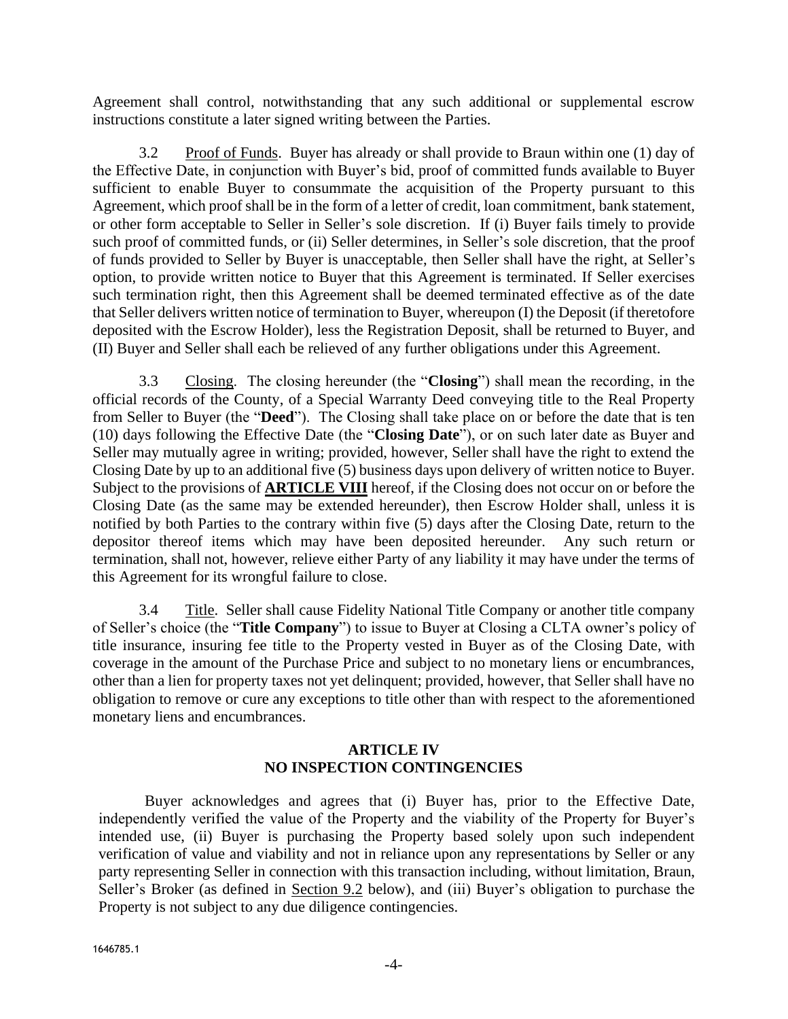Agreement shall control, notwithstanding that any such additional or supplemental escrow instructions constitute a later signed writing between the Parties.

3.2 Proof of Funds. Buyer has already or shall provide to Braun within one (1) day of the Effective Date, in conjunction with Buyer's bid, proof of committed funds available to Buyer sufficient to enable Buyer to consummate the acquisition of the Property pursuant to this Agreement, which proof shall be in the form of a letter of credit, loan commitment, bank statement, or other form acceptable to Seller in Seller's sole discretion. If (i) Buyer fails timely to provide such proof of committed funds, or (ii) Seller determines, in Seller's sole discretion, that the proof of funds provided to Seller by Buyer is unacceptable, then Seller shall have the right, at Seller's option, to provide written notice to Buyer that this Agreement is terminated. If Seller exercises such termination right, then this Agreement shall be deemed terminated effective as of the date that Seller delivers written notice of termination to Buyer, whereupon (I) the Deposit (if theretofore deposited with the Escrow Holder), less the Registration Deposit, shall be returned to Buyer, and (II) Buyer and Seller shall each be relieved of any further obligations under this Agreement.

3.3 Closing. The closing hereunder (the "**Closing**") shall mean the recording, in the official records of the County, of a Special Warranty Deed conveying title to the Real Property from Seller to Buyer (the "**Deed**"). The Closing shall take place on or before the date that is ten (10) days following the Effective Date (the "**Closing Date**"), or on such later date as Buyer and Seller may mutually agree in writing; provided, however, Seller shall have the right to extend the Closing Date by up to an additional five (5) business days upon delivery of written notice to Buyer. Subject to the provisions of **[ARTICLE VIII](#page-8-0)** hereof, if the Closing does not occur on or before the Closing Date (as the same may be extended hereunder), then Escrow Holder shall, unless it is notified by both Parties to the contrary within five (5) days after the Closing Date, return to the depositor thereof items which may have been deposited hereunder. Any such return or termination, shall not, however, relieve either Party of any liability it may have under the terms of this Agreement for its wrongful failure to close.

3.4 Title. Seller shall cause Fidelity National Title Company or another title company of Seller's choice (the "**Title Company**") to issue to Buyer at Closing a CLTA owner's policy of title insurance, insuring fee title to the Property vested in Buyer as of the Closing Date, with coverage in the amount of the Purchase Price and subject to no monetary liens or encumbrances, other than a lien for property taxes not yet delinquent; provided, however, that Seller shall have no obligation to remove or cure any exceptions to title other than with respect to the aforementioned monetary liens and encumbrances.

## **ARTICLE IV NO INSPECTION CONTINGENCIES**

Buyer acknowledges and agrees that (i) Buyer has, prior to the Effective Date, independently verified the value of the Property and the viability of the Property for Buyer's intended use, (ii) Buyer is purchasing the Property based solely upon such independent verification of value and viability and not in reliance upon any representations by Seller or any party representing Seller in connection with this transaction including, without limitation, Braun, Seller's Broker (as defined in <u>Section 9.2</u> below), and (iii) Buyer's obligation to purchase the Property is not subject to any due diligence contingencies.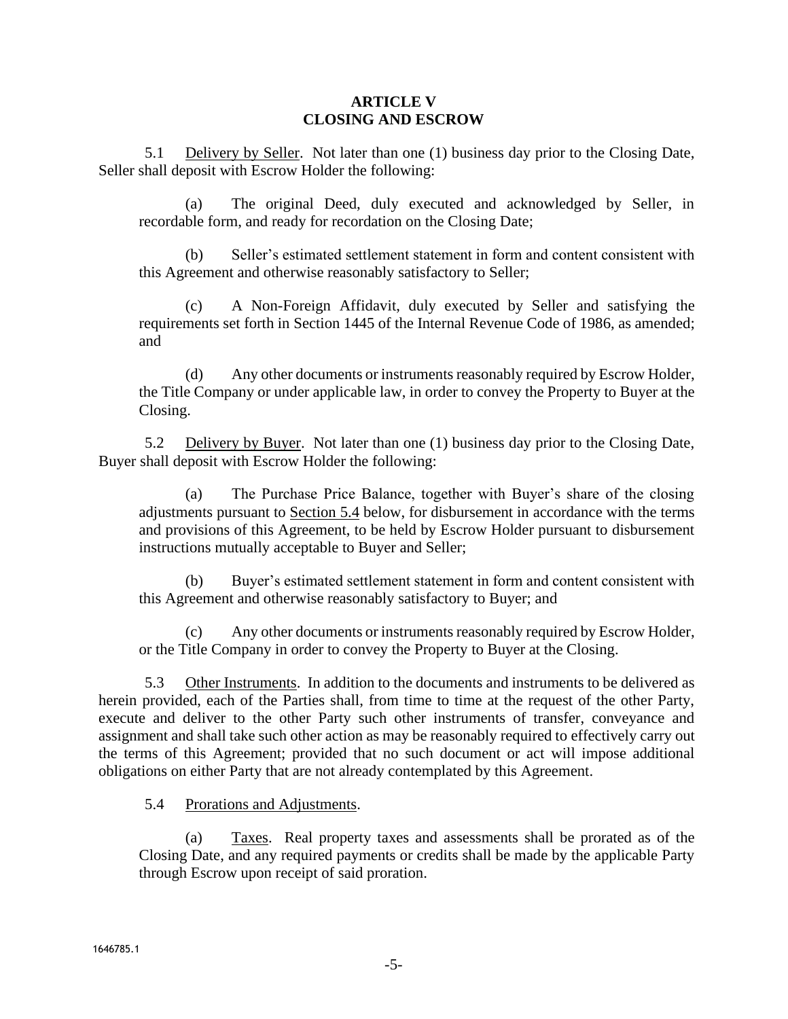## **ARTICLE V CLOSING AND ESCROW**

5.1 Delivery by Seller. Not later than one (1) business day prior to the Closing Date, Seller shall deposit with Escrow Holder the following:

(a) The original Deed, duly executed and acknowledged by Seller, in recordable form, and ready for recordation on the Closing Date;

(b) Seller's estimated settlement statement in form and content consistent with this Agreement and otherwise reasonably satisfactory to Seller;

(c) A Non-Foreign Affidavit, duly executed by Seller and satisfying the requirements set forth in Section 1445 of the Internal Revenue Code of 1986, as amended; and

(d) Any other documents or instruments reasonably required by Escrow Holder, the Title Company or under applicable law, in order to convey the Property to Buyer at the Closing.

<span id="page-4-1"></span>5.2 Delivery by Buyer. Not later than one (1) business day prior to the Closing Date, Buyer shall deposit with Escrow Holder the following:

(a) The Purchase Price Balance, together with Buyer's share of the closing adjustments pursuant to Section [5.4](#page-4-0) below, for disbursement in accordance with the terms and provisions of this Agreement, to be held by Escrow Holder pursuant to disbursement instructions mutually acceptable to Buyer and Seller;

(b) Buyer's estimated settlement statement in form and content consistent with this Agreement and otherwise reasonably satisfactory to Buyer; and

(c) Any other documents or instruments reasonably required by Escrow Holder, or the Title Company in order to convey the Property to Buyer at the Closing.

5.3 Other Instruments. In addition to the documents and instruments to be delivered as herein provided, each of the Parties shall, from time to time at the request of the other Party, execute and deliver to the other Party such other instruments of transfer, conveyance and assignment and shall take such other action as may be reasonably required to effectively carry out the terms of this Agreement; provided that no such document or act will impose additional obligations on either Party that are not already contemplated by this Agreement.

<span id="page-4-0"></span>5.4 Prorations and Adjustments.

(a) Taxes. Real property taxes and assessments shall be prorated as of the Closing Date, and any required payments or credits shall be made by the applicable Party through Escrow upon receipt of said proration.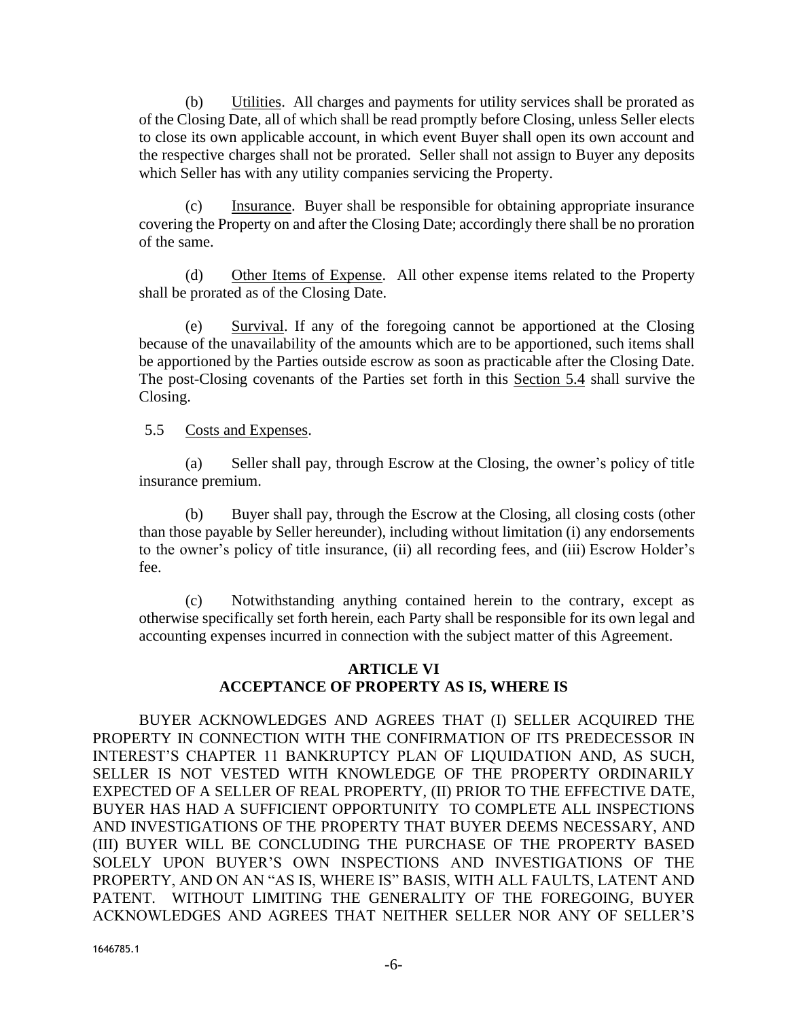(b) Utilities. All charges and payments for utility services shall be prorated as of the Closing Date, all of which shall be read promptly before Closing, unless Seller elects to close its own applicable account, in which event Buyer shall open its own account and the respective charges shall not be prorated. Seller shall not assign to Buyer any deposits which Seller has with any utility companies servicing the Property.

(c) Insurance. Buyer shall be responsible for obtaining appropriate insurance covering the Property on and after the Closing Date; accordingly there shall be no proration of the same.

(d) Other Items of Expense. All other expense items related to the Property shall be prorated as of the Closing Date.

(e) Survival. If any of the foregoing cannot be apportioned at the Closing because of the unavailability of the amounts which are to be apportioned, such items shall be apportioned by the Parties outside escrow as soon as practicable after the Closing Date. The post-Closing covenants of the Parties set forth in this Section 5.4 shall survive the Closing.

## 5.5 Costs and Expenses.

(a) Seller shall pay, through Escrow at the Closing, the owner's policy of title insurance premium.

(b) Buyer shall pay, through the Escrow at the Closing, all closing costs (other than those payable by Seller hereunder), including without limitation (i) any endorsements to the owner's policy of title insurance, (ii) all recording fees, and (iii) Escrow Holder's fee.

(c) Notwithstanding anything contained herein to the contrary, except as otherwise specifically set forth herein, each Party shall be responsible for its own legal and accounting expenses incurred in connection with the subject matter of this Agreement.

## **ARTICLE VI ACCEPTANCE OF PROPERTY AS IS, WHERE IS**

BUYER ACKNOWLEDGES AND AGREES THAT (I) SELLER ACQUIRED THE PROPERTY IN CONNECTION WITH THE CONFIRMATION OF ITS PREDECESSOR IN INTEREST'S CHAPTER 11 BANKRUPTCY PLAN OF LIQUIDATION AND, AS SUCH, SELLER IS NOT VESTED WITH KNOWLEDGE OF THE PROPERTY ORDINARILY EXPECTED OF A SELLER OF REAL PROPERTY, (II) PRIOR TO THE EFFECTIVE DATE, BUYER HAS HAD A SUFFICIENT OPPORTUNITY TO COMPLETE ALL INSPECTIONS AND INVESTIGATIONS OF THE PROPERTY THAT BUYER DEEMS NECESSARY, AND (III) BUYER WILL BE CONCLUDING THE PURCHASE OF THE PROPERTY BASED SOLELY UPON BUYER'S OWN INSPECTIONS AND INVESTIGATIONS OF THE PROPERTY, AND ON AN "AS IS, WHERE IS" BASIS, WITH ALL FAULTS, LATENT AND PATENT. WITHOUT LIMITING THE GENERALITY OF THE FOREGOING, BUYER ACKNOWLEDGES AND AGREES THAT NEITHER SELLER NOR ANY OF SELLER'S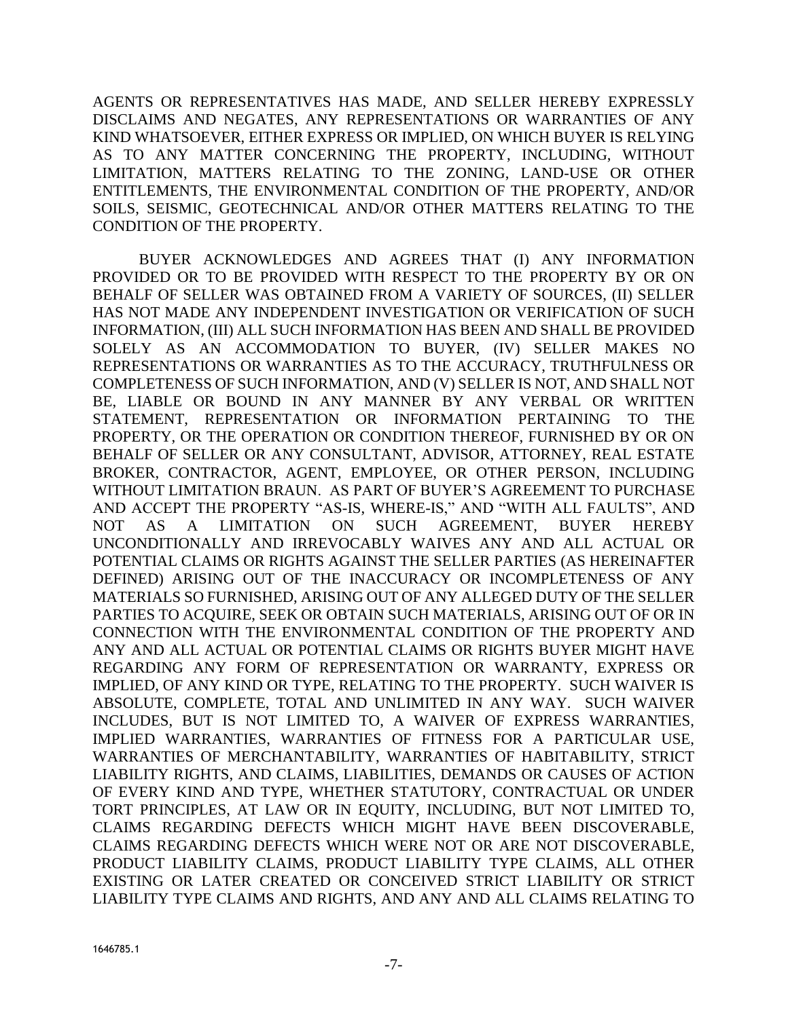AGENTS OR REPRESENTATIVES HAS MADE, AND SELLER HEREBY EXPRESSLY DISCLAIMS AND NEGATES, ANY REPRESENTATIONS OR WARRANTIES OF ANY KIND WHATSOEVER, EITHER EXPRESS OR IMPLIED, ON WHICH BUYER IS RELYING AS TO ANY MATTER CONCERNING THE PROPERTY, INCLUDING, WITHOUT LIMITATION, MATTERS RELATING TO THE ZONING, LAND-USE OR OTHER ENTITLEMENTS, THE ENVIRONMENTAL CONDITION OF THE PROPERTY, AND/OR SOILS, SEISMIC, GEOTECHNICAL AND/OR OTHER MATTERS RELATING TO THE CONDITION OF THE PROPERTY.

BUYER ACKNOWLEDGES AND AGREES THAT (I) ANY INFORMATION PROVIDED OR TO BE PROVIDED WITH RESPECT TO THE PROPERTY BY OR ON BEHALF OF SELLER WAS OBTAINED FROM A VARIETY OF SOURCES, (II) SELLER HAS NOT MADE ANY INDEPENDENT INVESTIGATION OR VERIFICATION OF SUCH INFORMATION, (III) ALL SUCH INFORMATION HAS BEEN AND SHALL BE PROVIDED SOLELY AS AN ACCOMMODATION TO BUYER, (IV) SELLER MAKES NO REPRESENTATIONS OR WARRANTIES AS TO THE ACCURACY, TRUTHFULNESS OR COMPLETENESS OF SUCH INFORMATION, AND (V) SELLER IS NOT, AND SHALL NOT BE, LIABLE OR BOUND IN ANY MANNER BY ANY VERBAL OR WRITTEN STATEMENT, REPRESENTATION OR INFORMATION PERTAINING TO THE PROPERTY, OR THE OPERATION OR CONDITION THEREOF, FURNISHED BY OR ON BEHALF OF SELLER OR ANY CONSULTANT, ADVISOR, ATTORNEY, REAL ESTATE BROKER, CONTRACTOR, AGENT, EMPLOYEE, OR OTHER PERSON, INCLUDING WITHOUT LIMITATION BRAUN. AS PART OF BUYER'S AGREEMENT TO PURCHASE AND ACCEPT THE PROPERTY "AS-IS, WHERE-IS," AND "WITH ALL FAULTS", AND NOT AS A LIMITATION ON SUCH AGREEMENT, BUYER HEREBY UNCONDITIONALLY AND IRREVOCABLY WAIVES ANY AND ALL ACTUAL OR POTENTIAL CLAIMS OR RIGHTS AGAINST THE SELLER PARTIES (AS HEREINAFTER DEFINED) ARISING OUT OF THE INACCURACY OR INCOMPLETENESS OF ANY MATERIALS SO FURNISHED, ARISING OUT OF ANY ALLEGED DUTY OF THE SELLER PARTIES TO ACQUIRE, SEEK OR OBTAIN SUCH MATERIALS, ARISING OUT OF OR IN CONNECTION WITH THE ENVIRONMENTAL CONDITION OF THE PROPERTY AND ANY AND ALL ACTUAL OR POTENTIAL CLAIMS OR RIGHTS BUYER MIGHT HAVE REGARDING ANY FORM OF REPRESENTATION OR WARRANTY, EXPRESS OR IMPLIED, OF ANY KIND OR TYPE, RELATING TO THE PROPERTY. SUCH WAIVER IS ABSOLUTE, COMPLETE, TOTAL AND UNLIMITED IN ANY WAY. SUCH WAIVER INCLUDES, BUT IS NOT LIMITED TO, A WAIVER OF EXPRESS WARRANTIES, IMPLIED WARRANTIES, WARRANTIES OF FITNESS FOR A PARTICULAR USE, WARRANTIES OF MERCHANTABILITY, WARRANTIES OF HABITABILITY, STRICT LIABILITY RIGHTS, AND CLAIMS, LIABILITIES, DEMANDS OR CAUSES OF ACTION OF EVERY KIND AND TYPE, WHETHER STATUTORY, CONTRACTUAL OR UNDER TORT PRINCIPLES, AT LAW OR IN EQUITY, INCLUDING, BUT NOT LIMITED TO, CLAIMS REGARDING DEFECTS WHICH MIGHT HAVE BEEN DISCOVERABLE, CLAIMS REGARDING DEFECTS WHICH WERE NOT OR ARE NOT DISCOVERABLE, PRODUCT LIABILITY CLAIMS, PRODUCT LIABILITY TYPE CLAIMS, ALL OTHER EXISTING OR LATER CREATED OR CONCEIVED STRICT LIABILITY OR STRICT LIABILITY TYPE CLAIMS AND RIGHTS, AND ANY AND ALL CLAIMS RELATING TO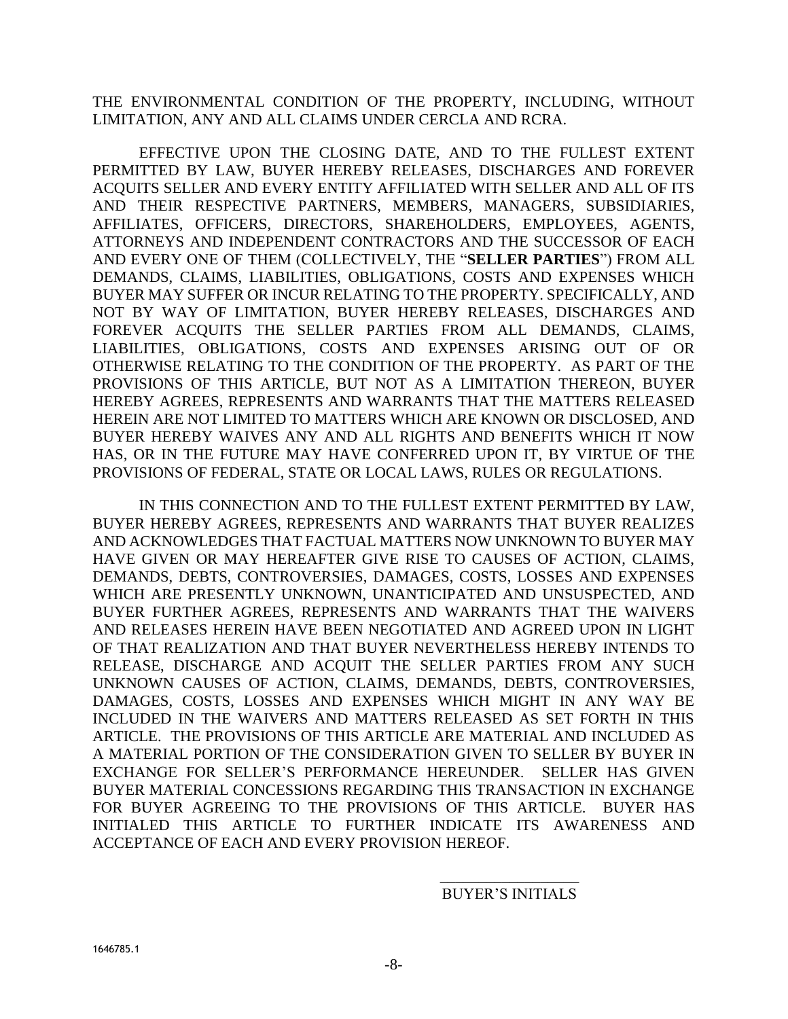THE ENVIRONMENTAL CONDITION OF THE PROPERTY, INCLUDING, WITHOUT LIMITATION, ANY AND ALL CLAIMS UNDER CERCLA AND RCRA.

EFFECTIVE UPON THE CLOSING DATE, AND TO THE FULLEST EXTENT PERMITTED BY LAW, BUYER HEREBY RELEASES, DISCHARGES AND FOREVER ACQUITS SELLER AND EVERY ENTITY AFFILIATED WITH SELLER AND ALL OF ITS AND THEIR RESPECTIVE PARTNERS, MEMBERS, MANAGERS, SUBSIDIARIES, AFFILIATES, OFFICERS, DIRECTORS, SHAREHOLDERS, EMPLOYEES, AGENTS, ATTORNEYS AND INDEPENDENT CONTRACTORS AND THE SUCCESSOR OF EACH AND EVERY ONE OF THEM (COLLECTIVELY, THE "**SELLER PARTIES**") FROM ALL DEMANDS, CLAIMS, LIABILITIES, OBLIGATIONS, COSTS AND EXPENSES WHICH BUYER MAY SUFFER OR INCUR RELATING TO THE PROPERTY. SPECIFICALLY, AND NOT BY WAY OF LIMITATION, BUYER HEREBY RELEASES, DISCHARGES AND FOREVER ACQUITS THE SELLER PARTIES FROM ALL DEMANDS, CLAIMS, LIABILITIES, OBLIGATIONS, COSTS AND EXPENSES ARISING OUT OF OR OTHERWISE RELATING TO THE CONDITION OF THE PROPERTY. AS PART OF THE PROVISIONS OF THIS ARTICLE, BUT NOT AS A LIMITATION THEREON, BUYER HEREBY AGREES, REPRESENTS AND WARRANTS THAT THE MATTERS RELEASED HEREIN ARE NOT LIMITED TO MATTERS WHICH ARE KNOWN OR DISCLOSED, AND BUYER HEREBY WAIVES ANY AND ALL RIGHTS AND BENEFITS WHICH IT NOW HAS, OR IN THE FUTURE MAY HAVE CONFERRED UPON IT, BY VIRTUE OF THE PROVISIONS OF FEDERAL, STATE OR LOCAL LAWS, RULES OR REGULATIONS.

IN THIS CONNECTION AND TO THE FULLEST EXTENT PERMITTED BY LAW, BUYER HEREBY AGREES, REPRESENTS AND WARRANTS THAT BUYER REALIZES AND ACKNOWLEDGES THAT FACTUAL MATTERS NOW UNKNOWN TO BUYER MAY HAVE GIVEN OR MAY HEREAFTER GIVE RISE TO CAUSES OF ACTION, CLAIMS, DEMANDS, DEBTS, CONTROVERSIES, DAMAGES, COSTS, LOSSES AND EXPENSES WHICH ARE PRESENTLY UNKNOWN, UNANTICIPATED AND UNSUSPECTED, AND BUYER FURTHER AGREES, REPRESENTS AND WARRANTS THAT THE WAIVERS AND RELEASES HEREIN HAVE BEEN NEGOTIATED AND AGREED UPON IN LIGHT OF THAT REALIZATION AND THAT BUYER NEVERTHELESS HEREBY INTENDS TO RELEASE, DISCHARGE AND ACQUIT THE SELLER PARTIES FROM ANY SUCH UNKNOWN CAUSES OF ACTION, CLAIMS, DEMANDS, DEBTS, CONTROVERSIES, DAMAGES, COSTS, LOSSES AND EXPENSES WHICH MIGHT IN ANY WAY BE INCLUDED IN THE WAIVERS AND MATTERS RELEASED AS SET FORTH IN THIS ARTICLE. THE PROVISIONS OF THIS ARTICLE ARE MATERIAL AND INCLUDED AS A MATERIAL PORTION OF THE CONSIDERATION GIVEN TO SELLER BY BUYER IN EXCHANGE FOR SELLER'S PERFORMANCE HEREUNDER. SELLER HAS GIVEN BUYER MATERIAL CONCESSIONS REGARDING THIS TRANSACTION IN EXCHANGE FOR BUYER AGREEING TO THE PROVISIONS OF THIS ARTICLE. BUYER HAS INITIALED THIS ARTICLE TO FURTHER INDICATE ITS AWARENESS AND ACCEPTANCE OF EACH AND EVERY PROVISION HEREOF.

## \_\_\_\_\_\_\_\_\_\_\_\_\_\_\_\_\_\_ BUYER'S INITIALS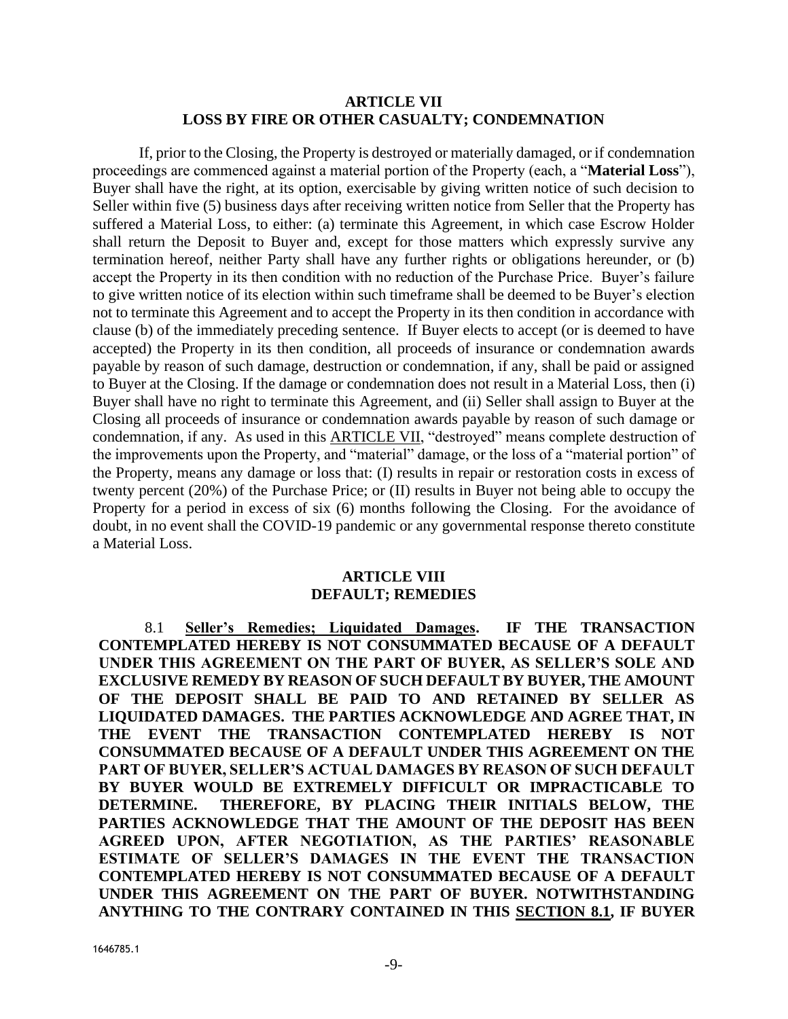## **ARTICLE VII LOSS BY FIRE OR OTHER CASUALTY; CONDEMNATION**

<span id="page-8-1"></span>If, prior to the Closing, the Property is destroyed or materially damaged, or if condemnation proceedings are commenced against a material portion of the Property (each, a "**Material Loss**"), Buyer shall have the right, at its option, exercisable by giving written notice of such decision to Seller within five (5) business days after receiving written notice from Seller that the Property has suffered a Material Loss, to either: (a) terminate this Agreement, in which case Escrow Holder shall return the Deposit to Buyer and, except for those matters which expressly survive any termination hereof, neither Party shall have any further rights or obligations hereunder, or (b) accept the Property in its then condition with no reduction of the Purchase Price. Buyer's failure to give written notice of its election within such timeframe shall be deemed to be Buyer's election not to terminate this Agreement and to accept the Property in its then condition in accordance with clause (b) of the immediately preceding sentence. If Buyer elects to accept (or is deemed to have accepted) the Property in its then condition, all proceeds of insurance or condemnation awards payable by reason of such damage, destruction or condemnation, if any, shall be paid or assigned to Buyer at the Closing. If the damage or condemnation does not result in a Material Loss, then (i) Buyer shall have no right to terminate this Agreement, and (ii) Seller shall assign to Buyer at the Closing all proceeds of insurance or condemnation awards payable by reason of such damage or condemnation, if any. As used in this [ARTICLE VII,](#page-8-1) "destroyed" means complete destruction of the improvements upon the Property, and "material" damage, or the loss of a "material portion" of the Property, means any damage or loss that: (I) results in repair or restoration costs in excess of twenty percent (20%) of the Purchase Price; or (II) results in Buyer not being able to occupy the Property for a period in excess of six (6) months following the Closing. For the avoidance of doubt, in no event shall the COVID-19 pandemic or any governmental response thereto constitute a Material Loss.

#### **ARTICLE VIII DEFAULT; REMEDIES**

<span id="page-8-2"></span><span id="page-8-0"></span>8.1 **Seller's Remedies; Liquidated Damages. IF THE TRANSACTION CONTEMPLATED HEREBY IS NOT CONSUMMATED BECAUSE OF A DEFAULT UNDER THIS AGREEMENT ON THE PART OF BUYER, AS SELLER'S SOLE AND EXCLUSIVE REMEDY BY REASON OF SUCH DEFAULT BY BUYER, THE AMOUNT OF THE DEPOSIT SHALL BE PAID TO AND RETAINED BY SELLER AS LIQUIDATED DAMAGES. THE PARTIES ACKNOWLEDGE AND AGREE THAT, IN THE EVENT THE TRANSACTION CONTEMPLATED HEREBY IS NOT CONSUMMATED BECAUSE OF A DEFAULT UNDER THIS AGREEMENT ON THE PART OF BUYER, SELLER'S ACTUAL DAMAGES BY REASON OF SUCH DEFAULT BY BUYER WOULD BE EXTREMELY DIFFICULT OR IMPRACTICABLE TO DETERMINE. THEREFORE, BY PLACING THEIR INITIALS BELOW, THE PARTIES ACKNOWLEDGE THAT THE AMOUNT OF THE DEPOSIT HAS BEEN AGREED UPON, AFTER NEGOTIATION, AS THE PARTIES' REASONABLE ESTIMATE OF SELLER'S DAMAGES IN THE EVENT THE TRANSACTION CONTEMPLATED HEREBY IS NOT CONSUMMATED BECAUSE OF A DEFAULT UNDER THIS AGREEMENT ON THE PART OF BUYER. NOTWITHSTANDING ANYTHING TO THE CONTRARY CONTAINED IN THIS SECTION [8.1,](#page-8-2) IF BUYER**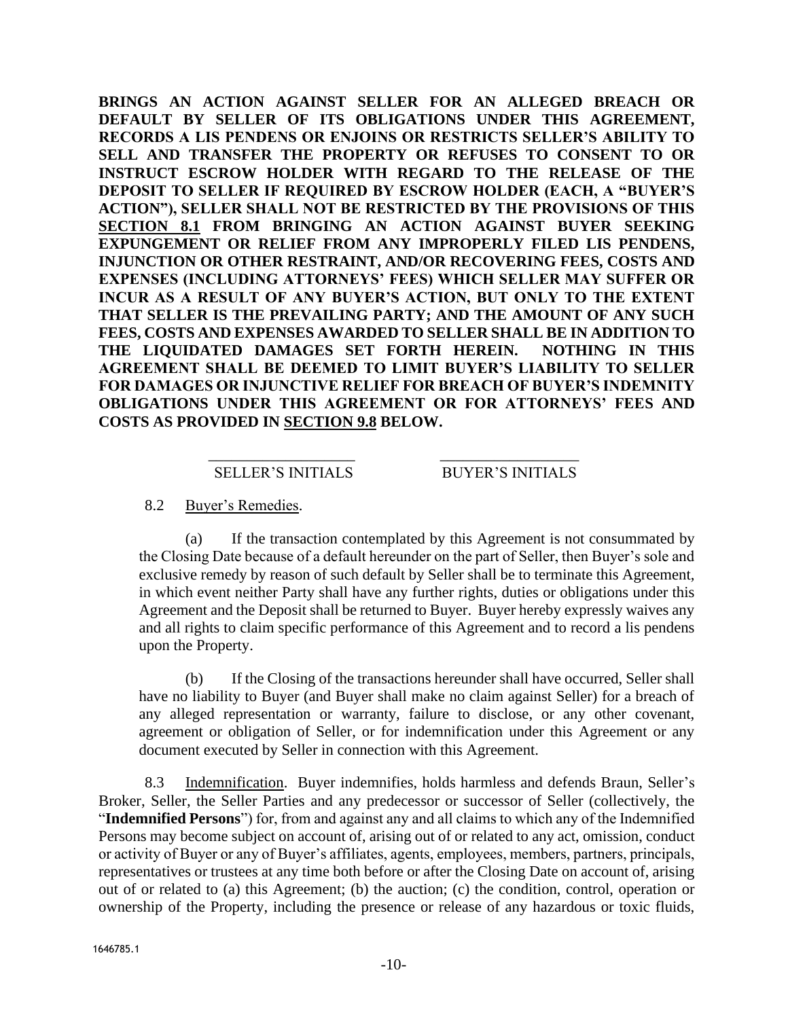**BRINGS AN ACTION AGAINST SELLER FOR AN ALLEGED BREACH OR DEFAULT BY SELLER OF ITS OBLIGATIONS UNDER THIS AGREEMENT, RECORDS A LIS PENDENS OR ENJOINS OR RESTRICTS SELLER'S ABILITY TO SELL AND TRANSFER THE PROPERTY OR REFUSES TO CONSENT TO OR INSTRUCT ESCROW HOLDER WITH REGARD TO THE RELEASE OF THE DEPOSIT TO SELLER IF REQUIRED BY ESCROW HOLDER (EACH, A "BUYER'S ACTION"), SELLER SHALL NOT BE RESTRICTED BY THE PROVISIONS OF THIS SECTION [8.1](#page-8-2) FROM BRINGING AN ACTION AGAINST BUYER SEEKING EXPUNGEMENT OR RELIEF FROM ANY IMPROPERLY FILED LIS PENDENS, INJUNCTION OR OTHER RESTRAINT, AND/OR RECOVERING FEES, COSTS AND EXPENSES (INCLUDING ATTORNEYS' FEES) WHICH SELLER MAY SUFFER OR INCUR AS A RESULT OF ANY BUYER'S ACTION, BUT ONLY TO THE EXTENT THAT SELLER IS THE PREVAILING PARTY; AND THE AMOUNT OF ANY SUCH FEES, COSTS AND EXPENSES AWARDED TO SELLER SHALL BE IN ADDITION TO THE LIQUIDATED DAMAGES SET FORTH HEREIN. NOTHING IN THIS AGREEMENT SHALL BE DEEMED TO LIMIT BUYER'S LIABILITY TO SELLER FOR DAMAGES OR INJUNCTIVE RELIEF FOR BREACH OF BUYER'S INDEMNITY OBLIGATIONS UNDER THIS AGREEMENT OR FOR ATTORNEYS' FEES AND COSTS AS PROVIDED IN SECTION [9.8](#page-12-0) BELOW.** 

#### \_\_\_\_\_\_\_\_\_\_\_\_\_\_\_\_\_\_\_ \_\_\_\_\_\_\_\_\_\_\_\_\_\_\_\_\_\_ SELLER'S INITIALS BUYER'S INITIALS

## 8.2 Buyer's Remedies.

(a) If the transaction contemplated by this Agreement is not consummated by the Closing Date because of a default hereunder on the part of Seller, then Buyer's sole and exclusive remedy by reason of such default by Seller shall be to terminate this Agreement, in which event neither Party shall have any further rights, duties or obligations under this Agreement and the Deposit shall be returned to Buyer. Buyer hereby expressly waives any and all rights to claim specific performance of this Agreement and to record a lis pendens upon the Property.

(b) If the Closing of the transactions hereunder shall have occurred, Seller shall have no liability to Buyer (and Buyer shall make no claim against Seller) for a breach of any alleged representation or warranty, failure to disclose, or any other covenant, agreement or obligation of Seller, or for indemnification under this Agreement or any document executed by Seller in connection with this Agreement.

8.3 Indemnification. Buyer indemnifies, holds harmless and defends Braun, Seller's Broker, Seller, the Seller Parties and any predecessor or successor of Seller (collectively, the "**Indemnified Persons**") for, from and against any and all claims to which any of the Indemnified Persons may become subject on account of, arising out of or related to any act, omission, conduct or activity of Buyer or any of Buyer's affiliates, agents, employees, members, partners, principals, representatives or trustees at any time both before or after the Closing Date on account of, arising out of or related to (a) this Agreement; (b) the auction; (c) the condition, control, operation or ownership of the Property, including the presence or release of any hazardous or toxic fluids,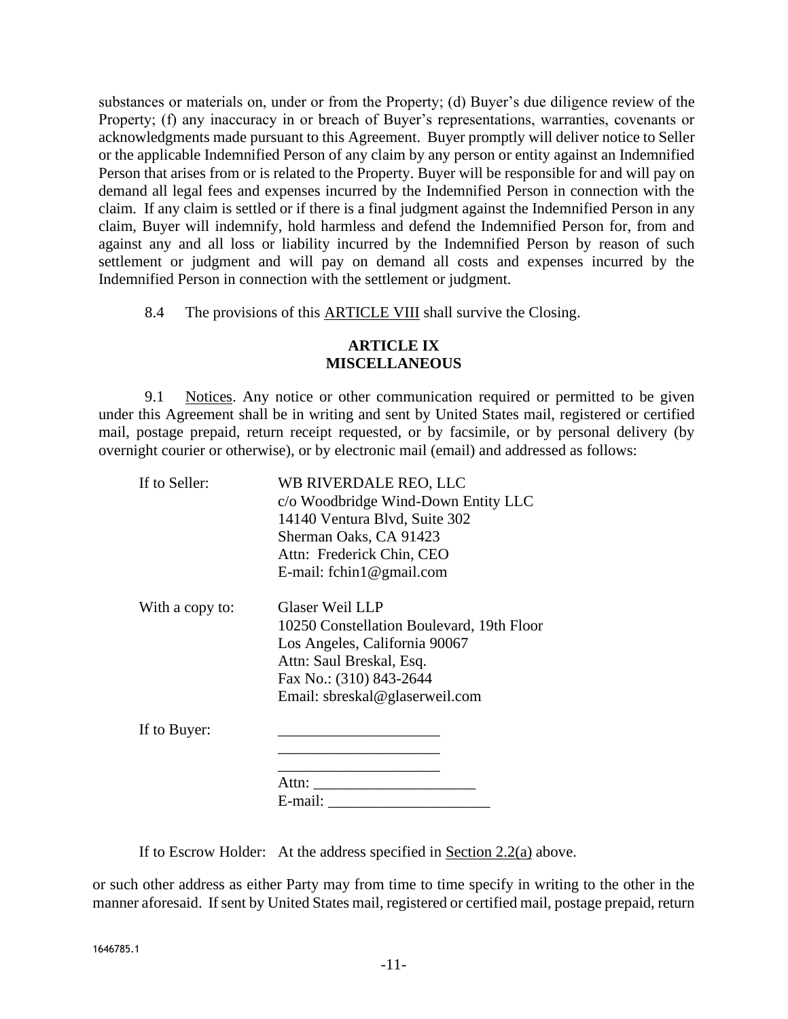substances or materials on, under or from the Property; (d) Buyer's due diligence review of the Property; (f) any inaccuracy in or breach of Buyer's representations, warranties, covenants or acknowledgments made pursuant to this Agreement. Buyer promptly will deliver notice to Seller or the applicable Indemnified Person of any claim by any person or entity against an Indemnified Person that arises from or is related to the Property. Buyer will be responsible for and will pay on demand all legal fees and expenses incurred by the Indemnified Person in connection with the claim. If any claim is settled or if there is a final judgment against the Indemnified Person in any claim, Buyer will indemnify, hold harmless and defend the Indemnified Person for, from and against any and all loss or liability incurred by the Indemnified Person by reason of such settlement or judgment and will pay on demand all costs and expenses incurred by the Indemnified Person in connection with the settlement or judgment.

8.4 The provisions of this [ARTICLE VIII](#page-8-0) shall survive the Closing.

## **ARTICLE IX MISCELLANEOUS**

9.1 Notices. Any notice or other communication required or permitted to be given under this Agreement shall be in writing and sent by United States mail, registered or certified mail, postage prepaid, return receipt requested, or by facsimile, or by personal delivery (by overnight courier or otherwise), or by electronic mail (email) and addressed as follows:

| If to Seller:   | WB RIVERDALE REO, LLC                     |
|-----------------|-------------------------------------------|
|                 | c/o Woodbridge Wind-Down Entity LLC       |
|                 | 14140 Ventura Blvd, Suite 302             |
|                 | Sherman Oaks, CA 91423                    |
|                 | Attn: Frederick Chin, CEO                 |
|                 | E-mail: fchin1@gmail.com                  |
| With a copy to: | Glaser Weil LLP                           |
|                 | 10250 Constellation Boulevard, 19th Floor |
|                 | Los Angeles, California 90067             |
|                 | Attn: Saul Breskal, Esq.                  |
|                 | Fax No.: (310) 843-2644                   |
|                 | Email: sbreskal@glaserweil.com            |
| If to Buyer:    |                                           |
|                 |                                           |
|                 | Attn:                                     |
|                 | E-mail:                                   |

If to Escrow Holder: At the address specified in Section [2.2\(](#page-2-0)a) above.

or such other address as either Party may from time to time specify in writing to the other in the manner aforesaid. If sent by United States mail, registered or certified mail, postage prepaid, return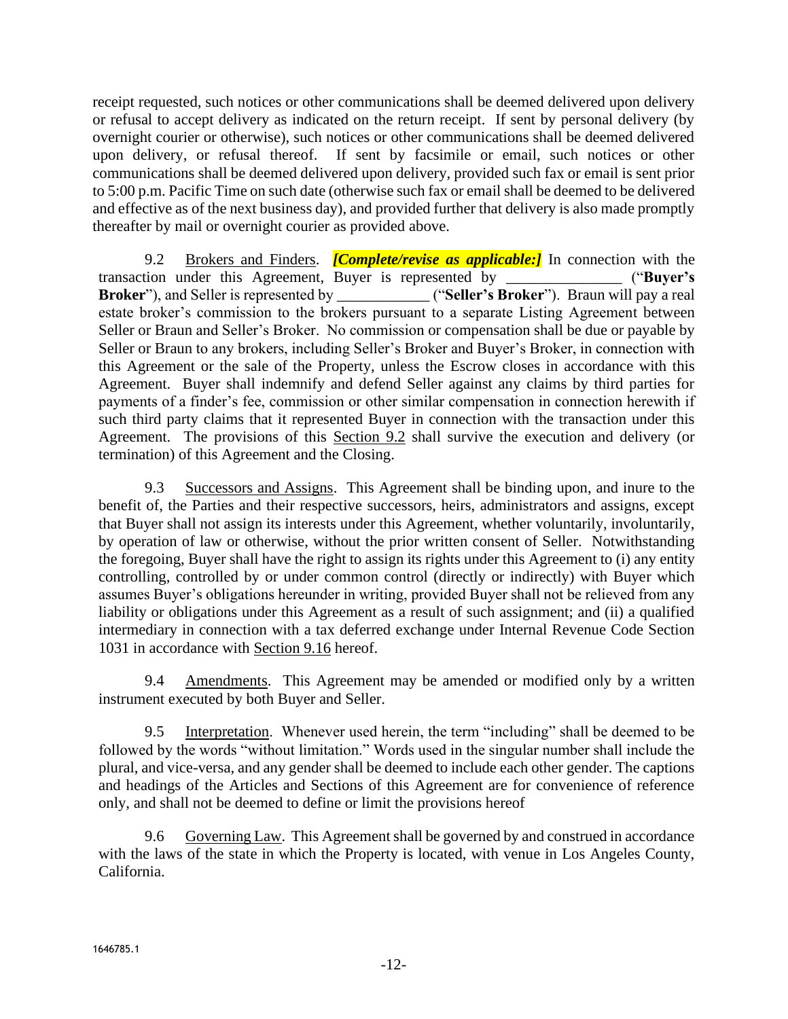receipt requested, such notices or other communications shall be deemed delivered upon delivery or refusal to accept delivery as indicated on the return receipt. If sent by personal delivery (by overnight courier or otherwise), such notices or other communications shall be deemed delivered upon delivery, or refusal thereof. If sent by facsimile or email, such notices or other communications shall be deemed delivered upon delivery, provided such fax or email is sent prior to 5:00 p.m. Pacific Time on such date (otherwise such fax or email shall be deemed to be delivered and effective as of the next business day), and provided further that delivery is also made promptly thereafter by mail or overnight courier as provided above.

9.2 Brokers and Finders. *[Complete/revise as applicable:]* In connection with the transaction under this Agreement, Buyer is represented by \_\_\_\_\_\_\_\_\_\_\_\_\_\_\_ ("**Buyer's Broker**"), and Seller is represented by **the contract ("Seller's Broker**"). Braun will pay a real estate broker's commission to the brokers pursuant to a separate Listing Agreement between Seller or Braun and Seller's Broker. No commission or compensation shall be due or payable by Seller or Braun to any brokers, including Seller's Broker and Buyer's Broker, in connection with this Agreement or the sale of the Property, unless the Escrow closes in accordance with this Agreement. Buyer shall indemnify and defend Seller against any claims by third parties for payments of a finder's fee, commission or other similar compensation in connection herewith if such third party claims that it represented Buyer in connection with the transaction under this Agreement. The provisions of this Section 9.2 shall survive the execution and delivery (or termination) of this Agreement and the Closing.

9.3 Successors and Assigns. This Agreement shall be binding upon, and inure to the benefit of, the Parties and their respective successors, heirs, administrators and assigns, except that Buyer shall not assign its interests under this Agreement, whether voluntarily, involuntarily, by operation of law or otherwise, without the prior written consent of Seller. Notwithstanding the foregoing, Buyer shall have the right to assign its rights under this Agreement to (i) any entity controlling, controlled by or under common control (directly or indirectly) with Buyer which assumes Buyer's obligations hereunder in writing, provided Buyer shall not be relieved from any liability or obligations under this Agreement as a result of such assignment; and (ii) a qualified intermediary in connection with a tax deferred exchange under Internal Revenue Code Section 1031 in accordance with Section [9.16](#page-12-1) hereof.

9.4 Amendments. This Agreement may be amended or modified only by a written instrument executed by both Buyer and Seller.

9.5 Interpretation. Whenever used herein, the term "including" shall be deemed to be followed by the words "without limitation." Words used in the singular number shall include the plural, and vice-versa, and any gender shall be deemed to include each other gender. The captions and headings of the Articles and Sections of this Agreement are for convenience of reference only, and shall not be deemed to define or limit the provisions hereof

9.6 Governing Law. This Agreement shall be governed by and construed in accordance with the laws of the state in which the Property is located, with venue in Los Angeles County, California.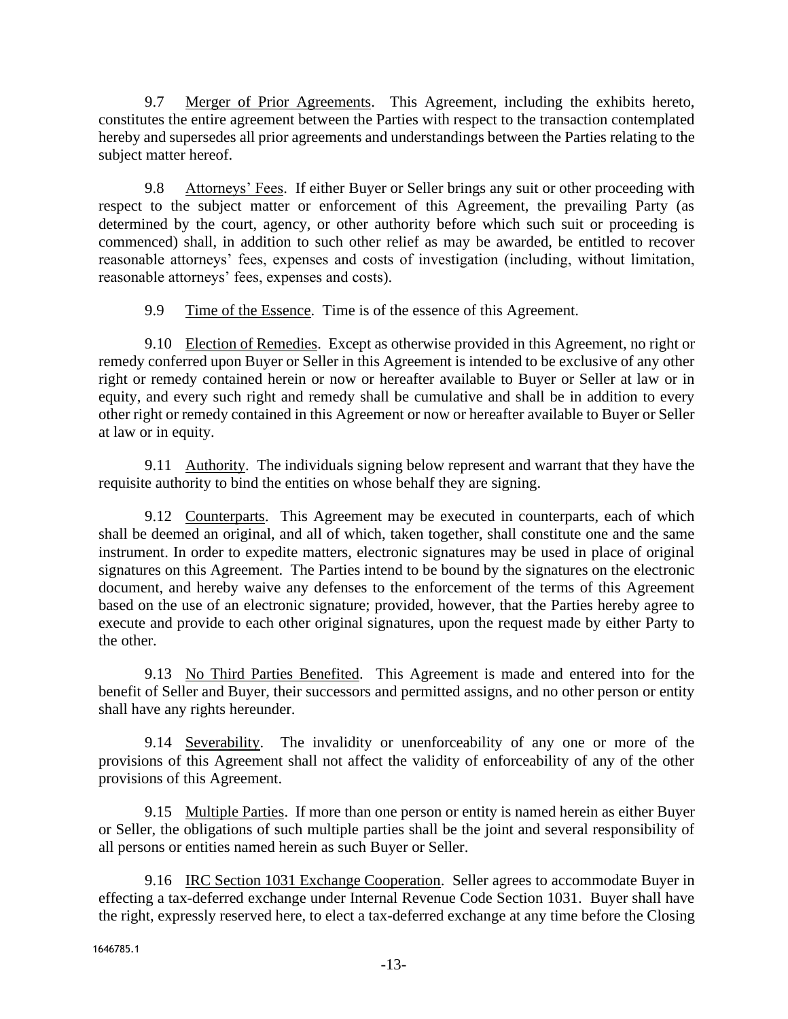9.7 Merger of Prior Agreements. This Agreement, including the exhibits hereto, constitutes the entire agreement between the Parties with respect to the transaction contemplated hereby and supersedes all prior agreements and understandings between the Parties relating to the subject matter hereof.

<span id="page-12-0"></span>9.8 Attorneys' Fees. If either Buyer or Seller brings any suit or other proceeding with respect to the subject matter or enforcement of this Agreement, the prevailing Party (as determined by the court, agency, or other authority before which such suit or proceeding is commenced) shall, in addition to such other relief as may be awarded, be entitled to recover reasonable attorneys' fees, expenses and costs of investigation (including, without limitation, reasonable attorneys' fees, expenses and costs).

9.9 Time of the Essence. Time is of the essence of this Agreement.

9.10 Election of Remedies. Except as otherwise provided in this Agreement, no right or remedy conferred upon Buyer or Seller in this Agreement is intended to be exclusive of any other right or remedy contained herein or now or hereafter available to Buyer or Seller at law or in equity, and every such right and remedy shall be cumulative and shall be in addition to every other right or remedy contained in this Agreement or now or hereafter available to Buyer or Seller at law or in equity.

9.11 Authority. The individuals signing below represent and warrant that they have the requisite authority to bind the entities on whose behalf they are signing.

9.12 Counterparts. This Agreement may be executed in counterparts, each of which shall be deemed an original, and all of which, taken together, shall constitute one and the same instrument. In order to expedite matters, electronic signatures may be used in place of original signatures on this Agreement. The Parties intend to be bound by the signatures on the electronic document, and hereby waive any defenses to the enforcement of the terms of this Agreement based on the use of an electronic signature; provided, however, that the Parties hereby agree to execute and provide to each other original signatures, upon the request made by either Party to the other.

9.13 No Third Parties Benefited. This Agreement is made and entered into for the benefit of Seller and Buyer, their successors and permitted assigns, and no other person or entity shall have any rights hereunder.

9.14 Severability. The invalidity or unenforceability of any one or more of the provisions of this Agreement shall not affect the validity of enforceability of any of the other provisions of this Agreement.

9.15 Multiple Parties. If more than one person or entity is named herein as either Buyer or Seller, the obligations of such multiple parties shall be the joint and several responsibility of all persons or entities named herein as such Buyer or Seller.

<span id="page-12-1"></span>9.16 IRC Section 1031 Exchange Cooperation. Seller agrees to accommodate Buyer in effecting a tax-deferred exchange under Internal Revenue Code Section 1031. Buyer shall have the right, expressly reserved here, to elect a tax-deferred exchange at any time before the Closing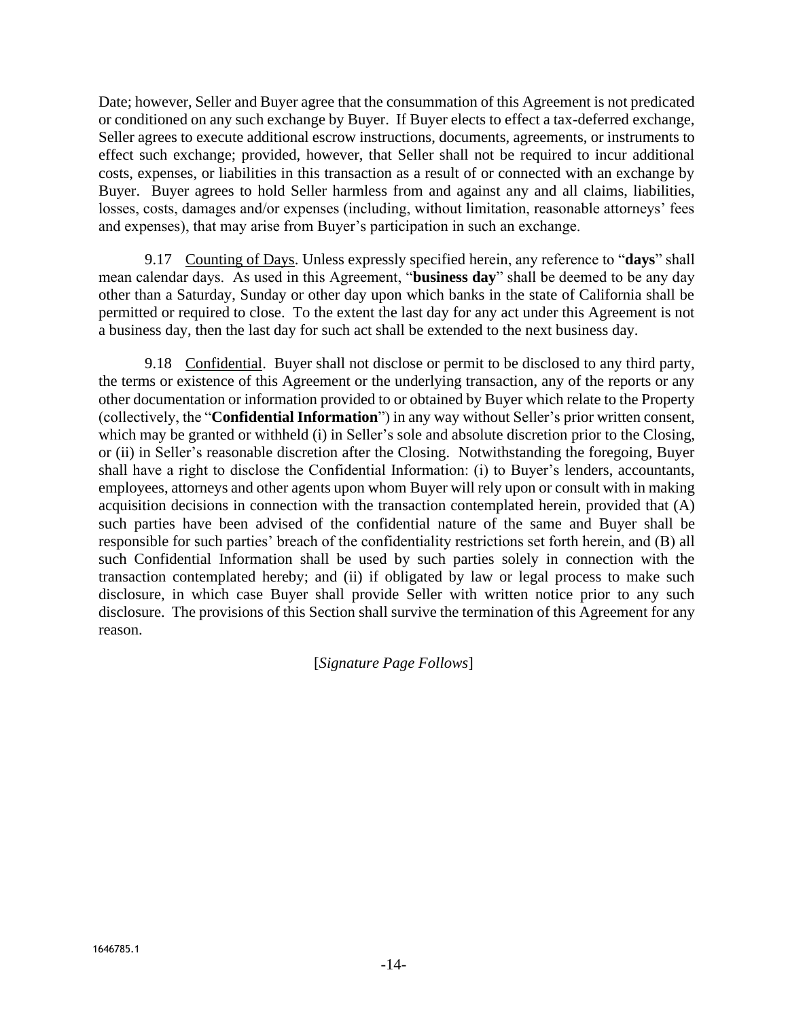Date; however, Seller and Buyer agree that the consummation of this Agreement is not predicated or conditioned on any such exchange by Buyer. If Buyer elects to effect a tax-deferred exchange, Seller agrees to execute additional escrow instructions, documents, agreements, or instruments to effect such exchange; provided, however, that Seller shall not be required to incur additional costs, expenses, or liabilities in this transaction as a result of or connected with an exchange by Buyer. Buyer agrees to hold Seller harmless from and against any and all claims, liabilities, losses, costs, damages and/or expenses (including, without limitation, reasonable attorneys' fees and expenses), that may arise from Buyer's participation in such an exchange.

9.17 Counting of Days. Unless expressly specified herein, any reference to "**days**" shall mean calendar days. As used in this Agreement, "**business day**" shall be deemed to be any day other than a Saturday, Sunday or other day upon which banks in the state of California shall be permitted or required to close. To the extent the last day for any act under this Agreement is not a business day, then the last day for such act shall be extended to the next business day.

9.18 Confidential. Buyer shall not disclose or permit to be disclosed to any third party, the terms or existence of this Agreement or the underlying transaction, any of the reports or any other documentation or information provided to or obtained by Buyer which relate to the Property (collectively, the "**Confidential Information**") in any way without Seller's prior written consent, which may be granted or withheld (i) in Seller's sole and absolute discretion prior to the Closing, or (ii) in Seller's reasonable discretion after the Closing. Notwithstanding the foregoing, Buyer shall have a right to disclose the Confidential Information: (i) to Buyer's lenders, accountants, employees, attorneys and other agents upon whom Buyer will rely upon or consult with in making acquisition decisions in connection with the transaction contemplated herein, provided that (A) such parties have been advised of the confidential nature of the same and Buyer shall be responsible for such parties' breach of the confidentiality restrictions set forth herein, and (B) all such Confidential Information shall be used by such parties solely in connection with the transaction contemplated hereby; and (ii) if obligated by law or legal process to make such disclosure, in which case Buyer shall provide Seller with written notice prior to any such disclosure. The provisions of this Section shall survive the termination of this Agreement for any reason.

[*Signature Page Follows*]